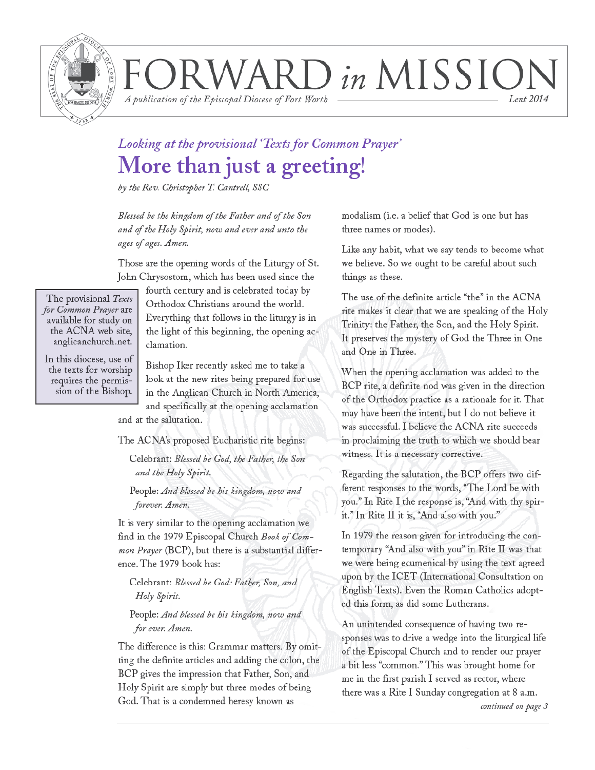

VARD in MISSION Lent 2014

A publication of the Episcopal Diocese of Fort Worth

### Looking at the provisional 'Texts for Common Prayer' More than just a greeting!

by the Rev. Christopher T. Cantrell, SSC

Blessed be the kingdom of the Father and of the Son and of the Holy Spirit, now and ever and unto the ages of ages. Amen.

Those are the opening words of the Liturgy of St. John Chrysostom, which has been used since the

The provisional Texts for Common Prayer are available for study on the ACNA web site, anglicanchurch.net.

In this diocese, use of the texts for worship requires the permission of the Bishop.

fourth century and is celebrated today by Orthodox Christians around the world. Everything that follows in the liturgy is in the light of this beginning, the opening acclamation.

Bishop Iker recently asked me to take a look at the new rites being prepared for use in the Anglican Church in North America, and specifically at the opening acclamation and at the salutation.

The ACNA's proposed Eucharistic rite begins:

Celebrant: Blessed be God, the Father, the Son and the Holy Spirit.

People: And blessed be his kingdom, now and forever. Amen.

It is very similar to the opening acclamation we find in the 1979 Episcopal Church Book of Common Prayer (BCP), but there is a substantial difference. The 1979 book has:

Celebrant: Blessed be God: Father, Son, and Holy Spirit.

People: And blessed be his kingdom, now and for ever. Amen.

The difference is this: Grammar matters. By omitting the definite articles and adding the colon, the BCP gives the impression that Father, Son, and Holy Spirit are simply but three modes of being God. That is a condemned heresy known as

modalism (i.e. a belief that God is one but has three names or modes).

Like any habit, what we say tends to become what we believe. So we ought to be careful about such things as these.

The use of the definite article "the" in the ACNA rite makes it clear that we are speaking of the Holy Trinity: the Father, the Son, and the Holy Spirit. It preserves the mystery of God the Three in One and One in Three.

When the opening acclamation was added to the BCP rite, a definite nod was given in the direction of the Orthodox practice as a rationale for it. That may have been the intent, but I do not believe it was successful. I believe the ACNA rite succeeds in proclaiming the truth to which we should bear witness. It is a necessary corrective.

Regarding the salutation, the BCP offers two different responses to the words, "The Lord be with you." In Rite I the response is, "And with thy spirit." In Rite II it is, "And also with you."

In 1979 the reason given for introducing the contemporary "And also with you" in Rite II was that we were being ecumenical by using the text agreed upon by the ICET (International Consultation on English Texts). Even the Roman Catholics adopted this form, as did some Lutherans.

An unintended consequence of having two responses was to drive a wedge into the liturgical life of the Episcopal Church and to render our prayer a bit less "common." This was brought home for me in the first parish I served as rector, where there was a Rite I Sunday congregation at 8 a.m.

continued on page 3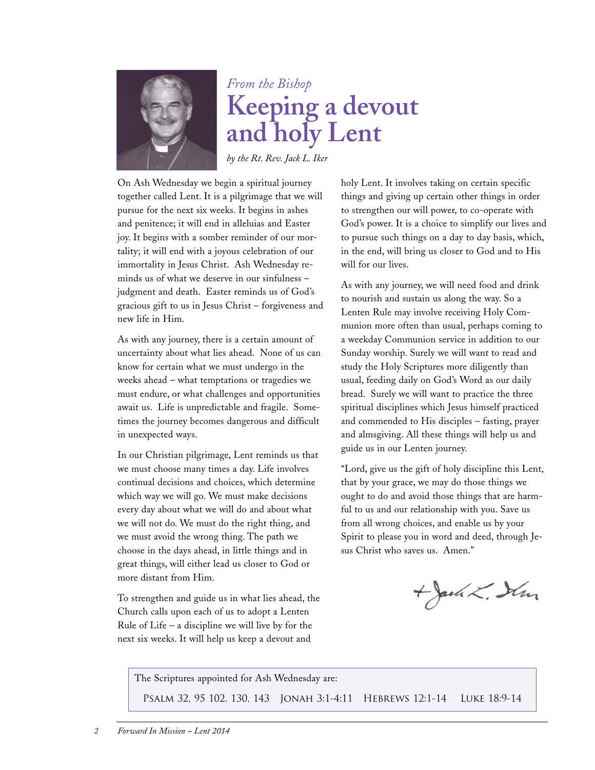

## *From the Bishop* **Keeping a devout and holy Lent**

*by the Rt. Rev. Jack L. Iker*

On Ash Wednesday we begin a spiritual journey together called Lent. It is a pilgrimage that we will pursue for the next six weeks. It begins in ashes and penitence; it will end in alleluias and Easter joy. It begins with a somber reminder of our mortality; it will end with a joyous celebration of our immortality in Jesus Christ. Ash Wednesday reminds us of what we deserve in our sinfulness – judgment and death. Easter reminds us of God's gracious gift to us in Jesus Christ – forgiveness and new life in Him.

As with any journey, there is a certain amount of uncertainty about what lies ahead. None of us can know for certain what we must undergo in the weeks ahead – what temptations or tragedies we must endure, or what challenges and opportunities await us. Life is unpredictable and fragile. Sometimes the journey becomes dangerous and difficult in unexpected ways.

In our Christian pilgrimage, Lent reminds us that we must choose many times a day. Life involves continual decisions and choices, which determine which way we will go. We must make decisions every day about what we will do and about what we will not do. We must do the right thing, and we must avoid the wrong thing. The path we choose in the days ahead, in little things and in great things, will either lead us closer to God or more distant from Him.

To strengthen and guide us in what lies ahead, the Church calls upon each of us to adopt a Lenten Rule of Life – a discipline we will live by for the next six weeks. It will help us keep a devout and

holy Lent. It involves taking on certain specific things and giving up certain other things in order to strengthen our will power, to co-operate with God's power. It is a choice to simplify our lives and to pursue such things on a day to day basis, which, in the end, will bring us closer to God and to His will for our lives.

As with any journey, we will need food and drink to nourish and sustain us along the way. So a Lenten Rule may involve receiving Holy Communion more often than usual, perhaps coming to a weekday Communion service in addition to our Sunday worship. Surely we will want to read and study the Holy Scriptures more diligently than usual, feeding daily on God's Word as our daily bread. Surely we will want to practice the three spiritual disciplines which Jesus himself practiced and commended to His disciples – fasting, prayer and almsgiving. All these things will help us and guide us in our Lenten journey.

"Lord, give us the gift of holy discipline this Lent, that by your grace, we may do those things we ought to do and avoid those things that are harmful to us and our relationship with you. Save us from all wrong choices, and enable us by your Spirit to please you in word and deed, through Jesus Christ who saves us. Amen."

+ Jack L. Sim

The Scriptures appointed for Ash Wednesday are: Psalm 32, 95 102, 130, 143 Jonah 3:1-4:11 Hebrews 12:1-14 Luke 18:9-14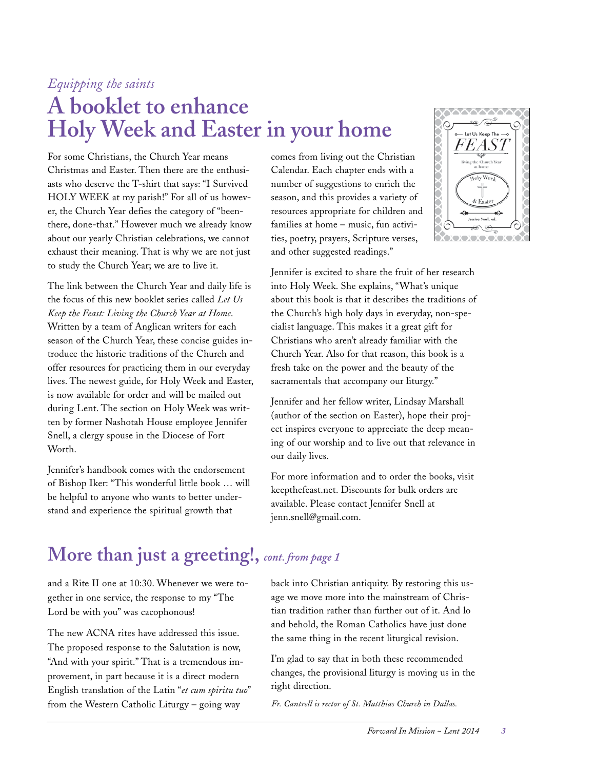### *Equipping the saints*

# **A booklet to enhance Holy Week and Easter in your home**

For some Christians, the Church Year means Christmas and Easter. Then there are the enthusiasts who deserve the T-shirt that says: "I Survived HOLY WEEK at my parish!" For all of us however, the Church Year defies the category of "beenthere, done-that." However much we already know about our yearly Christian celebrations, we cannot exhaust their meaning. That is why we are not just to study the Church Year; we are to live it.

The link between the Church Year and daily life is the focus of this new booklet series called *Let Us Keep the Feast: Living the Church Year at Home*. Written by a team of Anglican writers for each season of the Church Year, these concise guides introduce the historic traditions of the Church and offer resources for practicing them in our everyday lives. The newest guide, for Holy Week and Easter, is now available for order and will be mailed out during Lent. The section on Holy Week was written by former Nashotah House employee Jennifer Snell, a clergy spouse in the Diocese of Fort Worth.

Jennifer's handbook comes with the endorsement of Bishop Iker: "This wonderful little book … will be helpful to anyone who wants to better understand and experience the spiritual growth that

comes from living out the Christian Calendar. Each chapter ends with a number of suggestions to enrich the season, and this provides a variety of resources appropriate for children and families at home – music, fun activities, poetry, prayers, Scripture verses, and other suggested readings."



Jennifer is excited to share the fruit of her research into Holy Week. She explains, "What's unique about this book is that it describes the traditions of the Church's high holy days in everyday, non-specialist language. This makes it a great gift for Christians who aren't already familiar with the Church Year. Also for that reason, this book is a fresh take on the power and the beauty of the sacramentals that accompany our liturgy."

Jennifer and her fellow writer, Lindsay Marshall (author of the section on Easter), hope their project inspires everyone to appreciate the deep meaning of our worship and to live out that relevance in our daily lives.

For more information and to order the books, visit keepthefeast.net. Discounts for bulk orders are available. Please contact Jennifer Snell at jenn.snell@gmail.com.

### **More than just a greeting!,** *cont. from page 1*

and a Rite II one at 10:30. Whenever we were together in one service, the response to my "The Lord be with you" was cacophonous!

The new ACNA rites have addressed this issue. The proposed response to the Salutation is now, "And with your spirit." That is a tremendous improvement, in part because it is a direct modern English translation of the Latin "*et cum spiritu tuo*" from the Western Catholic Liturgy – going way

back into Christian antiquity. By restoring this usage we move more into the mainstream of Christian tradition rather than further out of it. And lo and behold, the Roman Catholics have just done the same thing in the recent liturgical revision.

I'm glad to say that in both these recommended changes, the provisional liturgy is moving us in the right direction.

*Fr. Cantrell is rector of St. Matthias Church in Dallas.*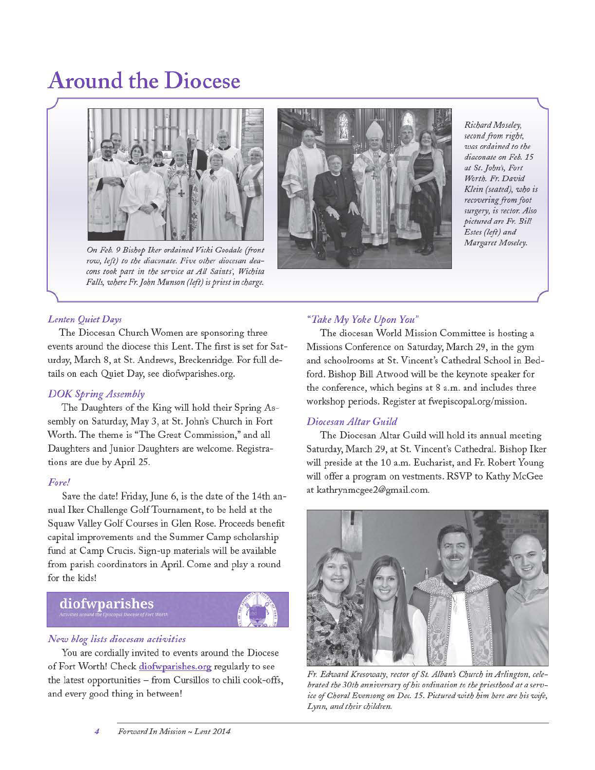# **Around the Diocese**



On Feb. 9 Bishop Iker ordained Vicki Goodale (front row, left) to the diaconate. Five other diocesan deacons took part in the service at All Saints', Wichita Falls, where Fr. John Munson (left) is priest in charge.



Richard Moseley, second from right, was ordained to the diaconate on Feb. 15 at St. John's, Fort Worth. Fr. David Klein (seated), who is recovering from foot surgery, is rector. Also pictured are Fr. Bill Estes (left) and Margaret Moseley.

#### Lenten Quiet Days

The Diocesan Church Women are sponsoring three events around the diocese this Lent. The first is set for Saturday, March 8, at St. Andrews, Breckenridge. For full details on each Quiet Day, see diofwparishes.org.

#### **DOK Spring Assembly**

The Daughters of the King will hold their Spring Assembly on Saturday, May 3, at St. John's Church in Fort Worth. The theme is "The Great Commission," and all Daughters and Junior Daughters are welcome. Registrations are due by April 25.

#### Fore!

Save the date! Friday, June 6, is the date of the 14th annual Iker Challenge Golf Tournament, to be held at the Squaw Valley Golf Courses in Glen Rose. Proceeds benefit capital improvements and the Summer Camp scholarship fund at Camp Crucis. Sign-up materials will be available from parish coordinators in April. Come and play a round for the kids!

### diofwparishes



#### New blog lists diocesan activities

You are cordially invited to events around the Diocese of Fort Worth! Check diofwparishes.org regularly to see the latest opportunities - from Cursillos to chili cook-offs, and every good thing in between!

#### "Take My Yoke Upon You"

The diocesan World Mission Committee is hosting a Missions Conference on Saturday, March 29, in the gym and schoolrooms at St. Vincent's Cathedral School in Bedford. Bishop Bill Atwood will be the keynote speaker for the conference, which begins at 8 a.m. and includes three workshop periods. Register at fwepiscopal.org/mission.

#### Diocesan Altar Guild

The Diocesan Altar Guild will hold its annual meeting Saturday, March 29, at St. Vincent's Cathedral. Bishop Iker will preside at the 10 a.m. Eucharist, and Fr. Robert Young will offer a program on vestments. RSVP to Kathy McGee at kathrynmcgee2@gmail.com.



Fr. Edward Kresowaty, rector of St. Alban's Church in Arlington, celebrated the 30th anniversary of his ordination to the priesthood at a service of Choral Evensong on Dec. 15. Pictured with him here are his wife, Lynn, and their children.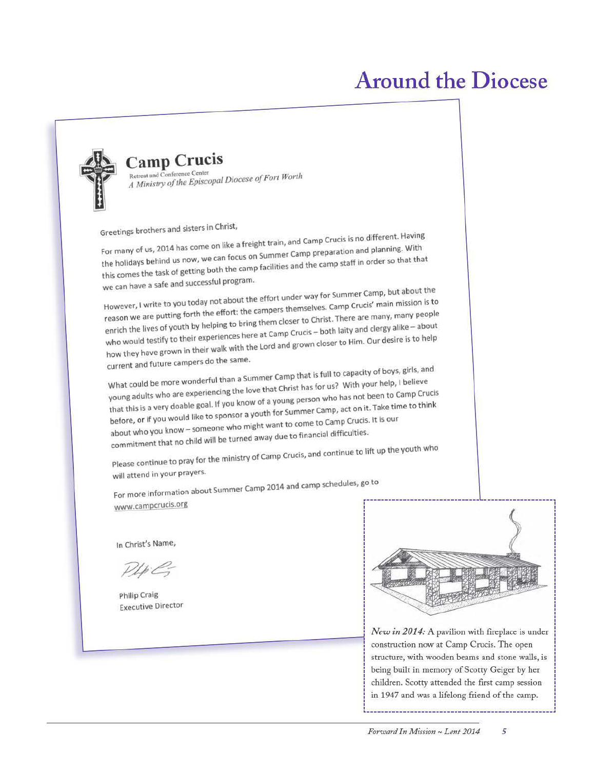# **Around the Diocese**



### **Camp Crucis**

Retreat and Conference Center A Ministry of the Episcopal Diocese of Fort Worth

Greetings brothers and sisters in Christ,

For many of us, 2014 has come on like a freight train, and Camp Crucis is no different. Having the holidays behind us now, we can focus on Summer Camp preparation and planning. With this comes the task of getting both the camp facilities and the camp staff in order so that that we can have a safe and successful program.

However, I write to you today not about the effort under way for Summer Camp, but about the reason we are putting forth the effort: the campers themselves. Camp Crucis' main mission is to enrich the lives of youth by helping to bring them closer to Christ. There are many, many people who would testify to their experiences here at Camp Crucis - both laity and clergy alike - about how they have grown in their walk with the Lord and grown closer to Him. Our desire is to help current and future campers do the same.

What could be more wonderful than a Summer Camp that is full to capacity of boys, girls, and young adults who are experiencing the love that Christ has for us? With your help, I believe that this is a very doable goal. If you know of a young person who has not been to Camp Crucis before, or if you would like to sponsor a youth for Summer Camp, act on it. Take time to think about who you know - someone who might want to come to Camp Crucis. It is our commitment that no child will be turned away due to financial difficulties.

Please continue to pray for the ministry of Camp Crucis, and continue to lift up the youth who will attend in your prayers.

For more information about Summer Camp 2014 and camp schedules, go to www.campcrucis.org

In Christ's Name,

 $PlpG$ 

Philip Craig **Executive Director** 



New in 2014: A pavilion with fireplace is under construction now at Camp Crucis. The open structure, with wooden beams and stone walls, is being built in memory of Scotty Geiger by her children. Scotty attended the first camp session in 1947 and was a lifelong friend of the camp.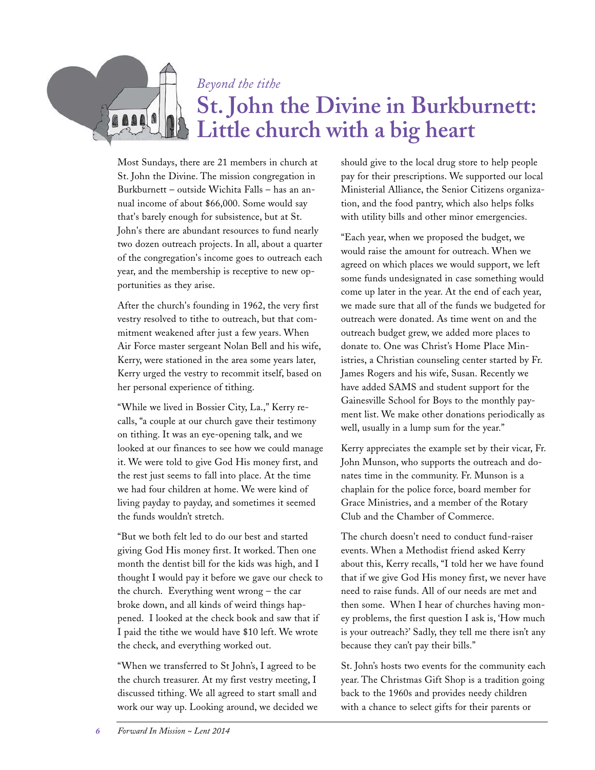#### *Beyond the tithe*

# **St. John the Divine in Burkburnett: Little church with a big heart**

Most Sundays, there are 21 members in church at St. John the Divine. The mission congregation in Burkburnett – outside Wichita Falls – has an annual income of about \$66,000. Some would say that's barely enough for subsistence, but at St. John's there are abundant resources to fund nearly two dozen outreach projects. In all, about a quarter of the congregation's income goes to outreach each year, and the membership is receptive to new opportunities as they arise.

After the church's founding in 1962, the very first vestry resolved to tithe to outreach, but that commitment weakened after just a few years. When Air Force master sergeant Nolan Bell and his wife, Kerry, were stationed in the area some years later, Kerry urged the vestry to recommit itself, based on her personal experience of tithing.

"While we lived in Bossier City, La.," Kerry recalls, "a couple at our church gave their testimony on tithing. It was an eye-opening talk, and we looked at our finances to see how we could manage it. We were told to give God His money first, and the rest just seems to fall into place. At the time we had four children at home. We were kind of living payday to payday, and sometimes it seemed the funds wouldn't stretch.

"But we both felt led to do our best and started giving God His money first. It worked. Then one month the dentist bill for the kids was high, and I thought I would pay it before we gave our check to the church. Everything went wrong – the car broke down, and all kinds of weird things happened. I looked at the check book and saw that if I paid the tithe we would have \$10 left. We wrote the check, and everything worked out.

"When we transferred to St John's, I agreed to be the church treasurer. At my first vestry meeting, I discussed tithing. We all agreed to start small and work our way up. Looking around, we decided we should give to the local drug store to help people pay for their prescriptions. We supported our local Ministerial Alliance, the Senior Citizens organization, and the food pantry, which also helps folks with utility bills and other minor emergencies.

"Each year, when we proposed the budget, we would raise the amount for outreach. When we agreed on which places we would support, we left some funds undesignated in case something would come up later in the year. At the end of each year, we made sure that all of the funds we budgeted for outreach were donated. As time went on and the outreach budget grew, we added more places to donate to. One was Christ's Home Place Ministries, a Christian counseling center started by Fr. James Rogers and his wife, Susan. Recently we have added SAMS and student support for the Gainesville School for Boys to the monthly payment list. We make other donations periodically as well, usually in a lump sum for the year."

Kerry appreciates the example set by their vicar, Fr. John Munson, who supports the outreach and donates time in the community. Fr. Munson is a chaplain for the police force, board member for Grace Ministries, and a member of the Rotary Club and the Chamber of Commerce.

The church doesn't need to conduct fund-raiser events. When a Methodist friend asked Kerry about this, Kerry recalls, "I told her we have found that if we give God His money first, we never have need to raise funds. All of our needs are met and then some. When I hear of churches having money problems, the first question I ask is, 'How much is your outreach?' Sadly, they tell me there isn't any because they can't pay their bills."

St. John's hosts two events for the community each year. The Christmas Gift Shop is a tradition going back to the 1960s and provides needy children with a chance to select gifts for their parents or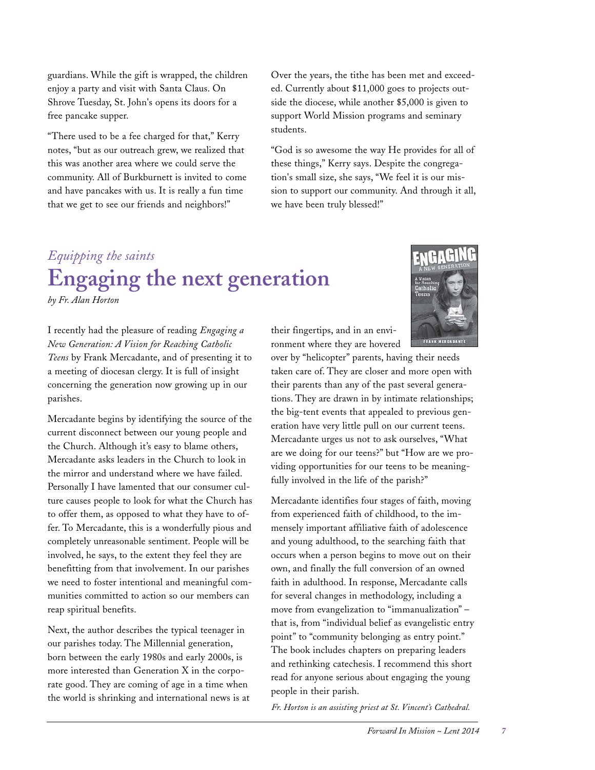guardians. While the gift is wrapped, the children enjoy a party and visit with Santa Claus. On Shrove Tuesday, St. John's opens its doors for a free pancake supper.

"There used to be a fee charged for that," Kerry notes, "but as our outreach grew, we realized that this was another area where we could serve the community. All of Burkburnett is invited to come and have pancakes with us. It is really a fun time that we get to see our friends and neighbors!"

Over the years, the tithe has been met and exceeded. Currently about \$11,000 goes to projects outside the diocese, while another \$5,000 is given to support World Mission programs and seminary students.

"God is so awesome the way He provides for all of these things," Kerry says. Despite the congregation's small size, she says, "We feel it is our mission to support our community. And through it all, we have been truly blessed!"

# *Equipping the saints* **Engaging the next generation**

*by Fr. Alan Horton*

I recently had the pleasure of reading *Engaging a New Generation: A Vision for Reaching Catholic Teens* by Frank Mercadante, and of presenting it to a meeting of diocesan clergy. It is full of insight concerning the generation now growing up in our parishes.

Mercadante begins by identifying the source of the current disconnect between our young people and the Church. Although it's easy to blame others, Mercadante asks leaders in the Church to look in the mirror and understand where we have failed. Personally I have lamented that our consumer culture causes people to look for what the Church has to offer them, as opposed to what they have to offer. To Mercadante, this is a wonderfully pious and completely unreasonable sentiment. People will be involved, he says, to the extent they feel they are benefitting from that involvement. In our parishes we need to foster intentional and meaningful communities committed to action so our members can reap spiritual benefits.

Next, the author describes the typical teenager in our parishes today. The Millennial generation, born between the early 1980s and early 2000s, is more interested than Generation X in the corporate good. They are coming of age in a time when the world is shrinking and international news is at



over by "helicopter" parents, having their needs taken care of. They are closer and more open with their parents than any of the past several generations. They are drawn in by intimate relationships; the big-tent events that appealed to previous generation have very little pull on our current teens. Mercadante urges us not to ask ourselves, "What are we doing for our teens?" but "How are we providing opportunities for our teens to be meaningfully involved in the life of the parish?"

Mercadante identifies four stages of faith, moving from experienced faith of childhood, to the immensely important affiliative faith of adolescence and young adulthood, to the searching faith that occurs when a person begins to move out on their own, and finally the full conversion of an owned faith in adulthood. In response, Mercadante calls for several changes in methodology, including a move from evangelization to "immanualization" – that is, from "individual belief as evangelistic entry point" to "community belonging as entry point." The book includes chapters on preparing leaders and rethinking catechesis. I recommend this short read for anyone serious about engaging the young people in their parish.

*Fr. Horton is an assisting priest at St. Vincent's Cathedral.*